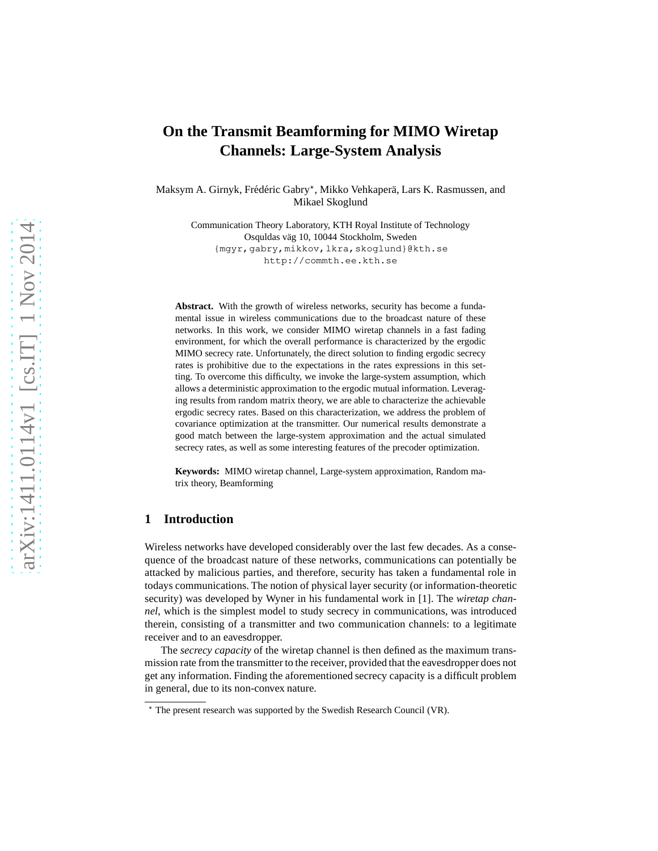# **On the Transmit Beamforming for MIMO Wiretap Channels: Large-System Analysis**

Maksym A. Girnyk, Frédéric Gabry\*, Mikko Vehkaperä, Lars K. Rasmussen, and Mikael Skoglund

Communication Theory Laboratory, KTH Royal Institute of Technology Osquldas väg 10, 10044 Stockholm, Sweden {mgyr,gabry,mikkov,lkra,skoglund}@kth.se http://commth.ee.kth.se

**Abstract.** With the growth of wireless networks, security has become a fundamental issue in wireless communications due to the broadcast nature of these networks. In this work, we consider MIMO wiretap channels in a fast fading environment, for which the overall performance is characterized by the ergodic MIMO secrecy rate. Unfortunately, the direct solution to finding ergodic secrecy rates is prohibitive due to the expectations in the rates expressions in this setting. To overcome this difficulty, we invoke the large-system assumption, which allows a deterministic approximation to the ergodic mutual information. Leveraging results from random matrix theory, we are able to characterize the achievable ergodic secrecy rates. Based on this characterization, we address the problem of covariance optimization at the transmitter. Our numerical results demonstrate a good match between the large-system approximation and the actual simulated secrecy rates, as well as some interesting features of the precoder optimization.

**Keywords:** MIMO wiretap channel, Large-system approximation, Random matrix theory, Beamforming

# **1 Introduction**

Wireless networks have developed considerably over the last few decades. As a consequence of the broadcast nature of these networks, communications can potentially be attacked by malicious parties, and therefore, security has taken a fundamental role in todays communications. The notion of physical layer security (or information-theoretic security) was developed by Wyner in his fundamental work in [1]. The *wiretap channel*, which is the simplest model to study secrecy in communications, was introduced therein, consisting of a transmitter and two communication channels: to a legitimate receiver and to an eavesdropper.

The *secrecy capacity* of the wiretap channel is then defined as the maximum transmission rate from the transmitter to the receiver, provided that the eavesdropper does not get any information. Finding the aforementioned secrecy capacity is a difficult problem in general, due to its non-convex nature.

<sup>⋆</sup> The present research was supported by the Swedish Research Council (VR).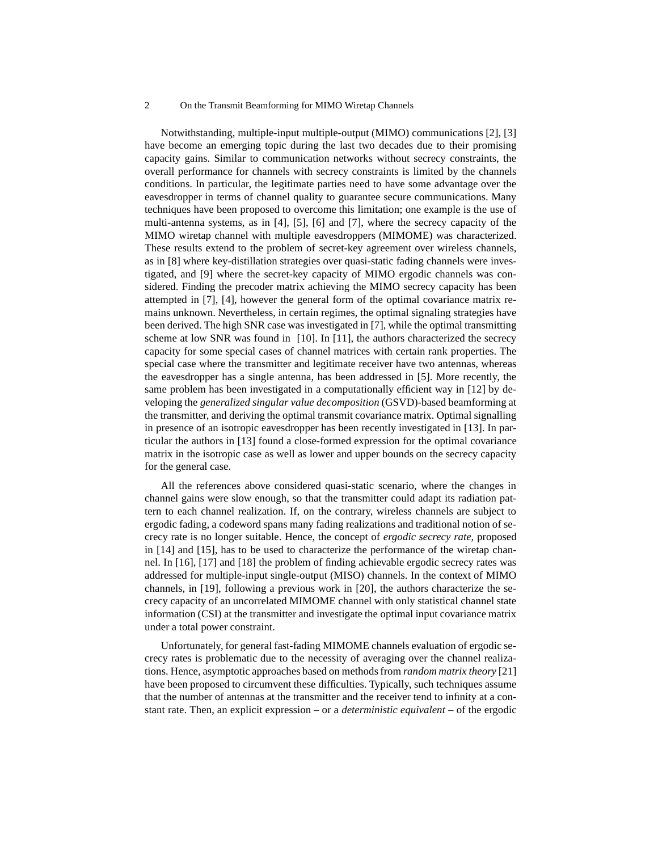#### 2 On the Transmit Beamforming for MIMO Wiretap Channels

Notwithstanding, multiple-input multiple-output (MIMO) communications [2], [3] have become an emerging topic during the last two decades due to their promising capacity gains. Similar to communication networks without secrecy constraints, the overall performance for channels with secrecy constraints is limited by the channels conditions. In particular, the legitimate parties need to have some advantage over the eavesdropper in terms of channel quality to guarantee secure communications. Many techniques have been proposed to overcome this limitation; one example is the use of multi-antenna systems, as in [4], [5], [6] and [7], where the secrecy capacity of the MIMO wiretap channel with multiple eavesdroppers (MIMOME) was characterized. These results extend to the problem of secret-key agreement over wireless channels, as in [8] where key-distillation strategies over quasi-static fading channels were investigated, and [9] where the secret-key capacity of MIMO ergodic channels was considered. Finding the precoder matrix achieving the MIMO secrecy capacity has been attempted in [7], [4], however the general form of the optimal covariance matrix remains unknown. Nevertheless, in certain regimes, the optimal signaling strategies have been derived. The high SNR case was investigated in [7], while the optimal transmitting scheme at low SNR was found in [10]. In [11], the authors characterized the secrecy capacity for some special cases of channel matrices with certain rank properties. The special case where the transmitter and legitimate receiver have two antennas, whereas the eavesdropper has a single antenna, has been addressed in [5]. More recently, the same problem has been investigated in a computationally efficient way in [12] by developing the *generalized singular value decomposition* (GSVD)-based beamforming at the transmitter, and deriving the optimal transmit covariance matrix. Optimal signalling in presence of an isotropic eavesdropper has been recently investigated in [13]. In particular the authors in [13] found a close-formed expression for the optimal covariance matrix in the isotropic case as well as lower and upper bounds on the secrecy capacity for the general case.

All the references above considered quasi-static scenario, where the changes in channel gains were slow enough, so that the transmitter could adapt its radiation pattern to each channel realization. If, on the contrary, wireless channels are subject to ergodic fading, a codeword spans many fading realizations and traditional notion of secrecy rate is no longer suitable. Hence, the concept of *ergodic secrecy rate*, proposed in [14] and [15], has to be used to characterize the performance of the wiretap channel. In [16], [17] and [18] the problem of finding achievable ergodic secrecy rates was addressed for multiple-input single-output (MISO) channels. In the context of MIMO channels, in [19], following a previous work in [20], the authors characterize the secrecy capacity of an uncorrelated MIMOME channel with only statistical channel state information (CSI) at the transmitter and investigate the optimal input covariance matrix under a total power constraint.

Unfortunately, for general fast-fading MIMOME channels evaluation of ergodic secrecy rates is problematic due to the necessity of averaging over the channel realizations. Hence, asymptotic approaches based on methods from *random matrix theory* [21] have been proposed to circumvent these difficulties. Typically, such techniques assume that the number of antennas at the transmitter and the receiver tend to infinity at a constant rate. Then, an explicit expression – or a *deterministic equivalent* – of the ergodic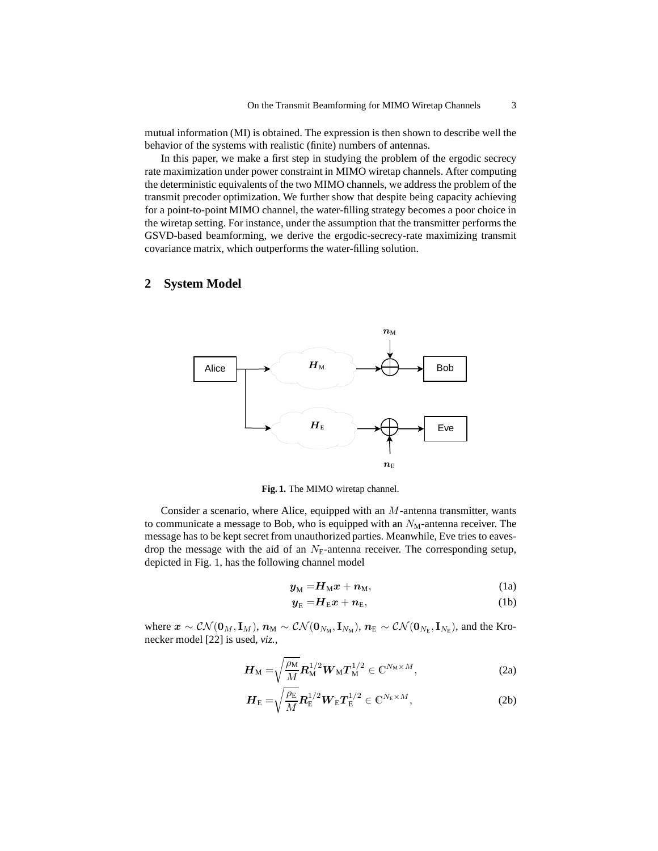mutual information (MI) is obtained. The expression is then shown to describe well the behavior of the systems with realistic (finite) numbers of antennas.

In this paper, we make a first step in studying the problem of the ergodic secrecy rate maximization under power constraint in MIMO wiretap channels. After computing the deterministic equivalents of the two MIMO channels, we address the problem of the transmit precoder optimization. We further show that despite being capacity achieving for a point-to-point MIMO channel, the water-filling strategy becomes a poor choice in the wiretap setting. For instance, under the assumption that the transmitter performs the GSVD-based beamforming, we derive the ergodic-secrecy-rate maximizing transmit covariance matrix, which outperforms the water-filling solution.

# PSfrag replacements Alice  $\begin{array}{|c|c|c|c|}\hline \quad & H_{\rm M} & \rightarrow & \begin{array}{|c|c|}\hline \end{array} \end{array}$  Bob Eve  $H_{\rm M}$  $H_{\rm E}$  $n_{\rm M}$  $n_{\rm E}$

#### **2 System Model**

**Fig. 1.** The MIMO wiretap channel.

Consider a scenario, where Alice, equipped with an  $M$ -antenna transmitter, wants to communicate a message to Bob, who is equipped with an  $N<sub>M</sub>$ -antenna receiver. The message has to be kept secret from unauthorized parties. Meanwhile, Eve tries to eavesdrop the message with the aid of an  $N<sub>E</sub>$ -antenna receiver. The corresponding setup, depicted in Fig. 1, has the following channel model

$$
\boldsymbol{y}_{\mathrm{M}} = \boldsymbol{H}_{\mathrm{M}} \boldsymbol{x} + \boldsymbol{n}_{\mathrm{M}},\tag{1a}
$$

$$
y_{\rm E} = H_{\rm E} x + n_{\rm E},\tag{1b}
$$

where  $x \sim \mathcal{CN}(\mathbf{0}_M, \mathbf{I}_M)$ ,  $n_M \sim \mathcal{CN}(\mathbf{0}_{N_M}, \mathbf{I}_{N_M})$ ,  $n_E \sim \mathcal{CN}(\mathbf{0}_{N_E}, \mathbf{I}_{N_E})$ , and the Kronecker model [22] is used, *viz.*,

$$
\boldsymbol{H}_{\mathrm{M}} = \sqrt{\frac{\rho_{\mathrm{M}}}{M}} \boldsymbol{R}_{\mathrm{M}}^{1/2} \boldsymbol{W}_{\mathrm{M}} \boldsymbol{T}_{\mathrm{M}}^{1/2} \in \mathbb{C}^{N_{\mathrm{M}} \times M}, \qquad (2a)
$$

$$
\boldsymbol{H}_{\mathrm{E}} = \sqrt{\frac{\rho_{\mathrm{E}}}{M}} \boldsymbol{R}_{\mathrm{E}}^{1/2} \boldsymbol{W}_{\mathrm{E}} \boldsymbol{T}_{\mathrm{E}}^{1/2} \in \mathbb{C}^{N_{\mathrm{E}} \times M}, \qquad (2b)
$$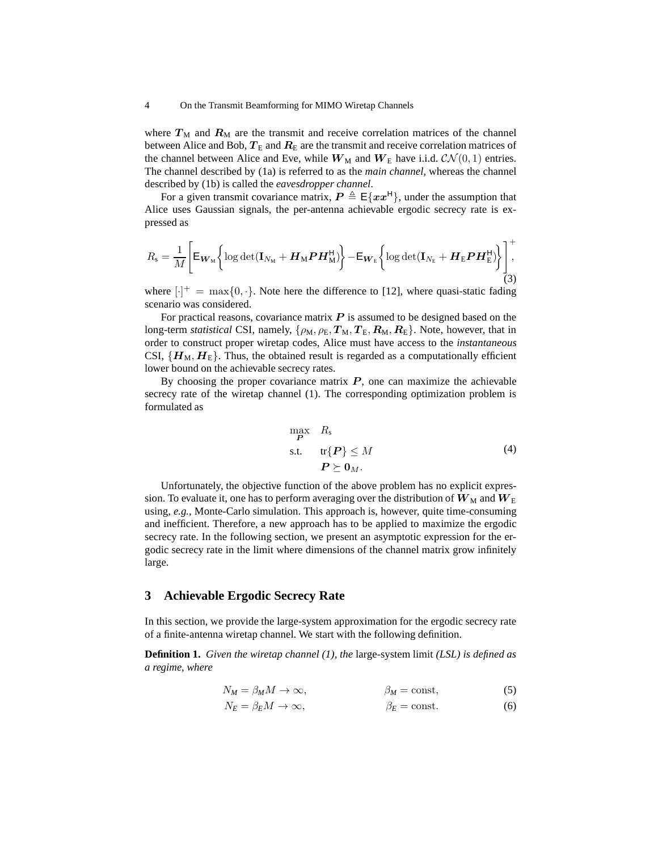#### 4 On the Transmit Beamforming for MIMO Wiretap Channels

where  $T_{\rm M}$  and  $R_{\rm M}$  are the transmit and receive correlation matrices of the channel between Alice and Bob,  $T_E$  and  $R_E$  are the transmit and receive correlation matrices of the channel between Alice and Eve, while  $W_M$  and  $W_E$  have i.i.d.  $CN(0, 1)$  entries. The channel described by (1a) is referred to as the *main channel*, whereas the channel described by (1b) is called the *eavesdropper channel*.

For a given transmit covariance matrix,  $P \triangleq \mathsf{E}\{xx^{\mathsf{H}}\}$ , under the assumption that Alice uses Gaussian signals, the per-antenna achievable ergodic secrecy rate is expressed as

$$
R_{\rm s} = \frac{1}{M} \Bigg[ \mathsf{E}_{\boldsymbol{W}_{\rm M}} \bigg\{ \log \det(\mathbf{I}_{N_{\rm M}} + \boldsymbol{H}_{\rm M} \boldsymbol{P} \boldsymbol{H}_{\rm M}^{\mathsf{H}}) \bigg\} - \mathsf{E}_{\boldsymbol{W}_{\rm E}} \bigg\{ \log \det(\mathbf{I}_{N_{\rm E}} + \boldsymbol{H}_{\rm E} \boldsymbol{P} \boldsymbol{H}_{\rm E}^{\mathsf{H}}) \bigg\} \Bigg]_{(3)}^{+},
$$

where  $[\cdot]^+$  = max $\{0, \cdot\}$ . Note here the difference to [12], where quasi-static fading scenario was considered.

For practical reasons, covariance matrix  $P$  is assumed to be designed based on the long-term *statistical* CSI, namely,  $\{\rho_M, \rho_E, T_M, T_E, R_M, R_E\}$ . Note, however, that in order to construct proper wiretap codes, Alice must have access to the *instantaneous* CSI,  $\{H_M, H_E\}$ . Thus, the obtained result is regarded as a computationally efficient lower bound on the achievable secrecy rates.

By choosing the proper covariance matrix  $P$ , one can maximize the achievable secrecy rate of the wiretap channel (1). The corresponding optimization problem is formulated as

$$
\begin{array}{ll}\n\max_{\mathbf{P}} & R_{\mathrm{s}} \\
\text{s.t.} & \text{tr}\{\mathbf{P}\} \leq M \\
& \mathbf{P} \succeq \mathbf{0}_M.\n\end{array} \tag{4}
$$

Unfortunately, the objective function of the above problem has no explicit expression. To evaluate it, one has to perform averaging over the distribution of  $W_M$  and  $W_E$ using, *e.g.*, Monte-Carlo simulation. This approach is, however, quite time-consuming and inefficient. Therefore, a new approach has to be applied to maximize the ergodic secrecy rate. In the following section, we present an asymptotic expression for the ergodic secrecy rate in the limit where dimensions of the channel matrix grow infinitely large.

#### **3 Achievable Ergodic Secrecy Rate**

In this section, we provide the large-system approximation for the ergodic secrecy rate of a finite-antenna wiretap channel. We start with the following definition.

**Definition 1.** *Given the wiretap channel (1), the* large-system limit *(LSL) is defined as a regime, where*

$$
N_M = \beta_M M \to \infty, \qquad \beta_M = \text{const}, \tag{5}
$$

$$
N_E = \beta_E M \to \infty, \qquad \beta_E = \text{const.} \tag{6}
$$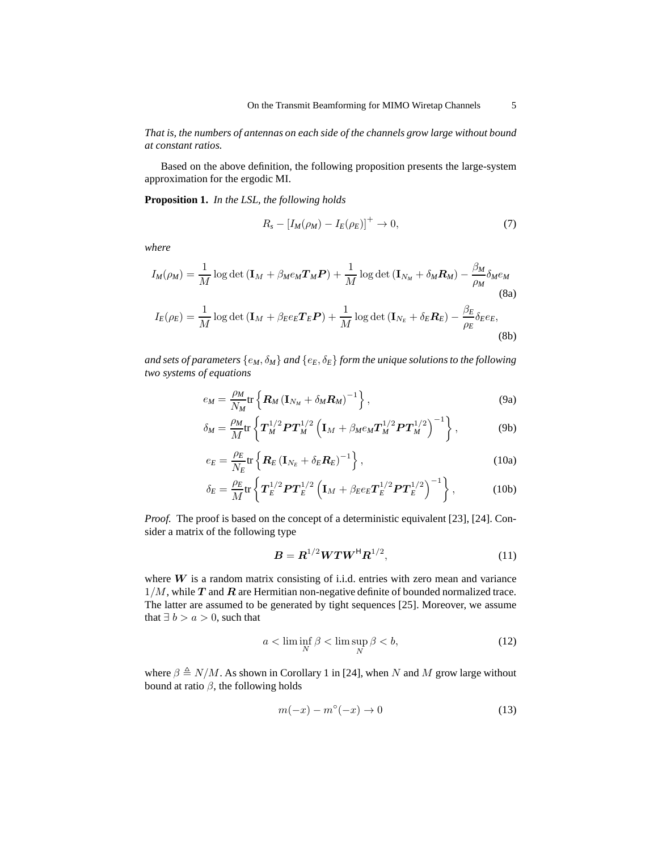*That is, the numbers of antennas on each side of the channels grow large without bound at constant ratios.*

Based on the above definition, the following proposition presents the large-system approximation for the ergodic MI.

**Proposition 1.** *In the LSL, the following holds*

$$
R_s - \left[I_M(\rho_M) - I_E(\rho_E)\right]^+ \to 0,\tag{7}
$$

*where*

$$
I_M(\rho_M) = \frac{1}{M} \log \det (\mathbf{I}_M + \beta_M e_M \mathbf{T}_M \mathbf{P}) + \frac{1}{M} \log \det (\mathbf{I}_{N_M} + \delta_M \mathbf{R}_M) - \frac{\beta_M}{\rho_M} \delta_M e_M
$$
\n(8a)  
\n
$$
I_E(\rho_E) = \frac{1}{M} \log \det (\mathbf{I}_M + \beta_E e_E \mathbf{T}_E \mathbf{P}) + \frac{1}{M} \log \det (\mathbf{I}_{N_E} + \delta_E \mathbf{R}_E) - \frac{\beta_E}{\rho_E} \delta_E e_E,
$$

*and sets of parameters*  $\{e_M, \delta_M\}$  *and*  $\{e_E, \delta_E\}$  *form the unique solutions to the following two systems of equations*

$$
e_M = \frac{\rho_M}{N_M} \text{tr} \left\{ \mathbf{R}_M \left( \mathbf{I}_{N_M} + \delta_M \mathbf{R}_M \right)^{-1} \right\},\tag{9a}
$$

$$
\delta_M = \frac{\rho_M}{M} \text{tr} \left\{ \mathbf{T}_M^{1/2} \mathbf{P} \mathbf{T}_M^{1/2} \left( \mathbf{I}_M + \beta_M e_M \mathbf{T}_M^{1/2} \mathbf{P} \mathbf{T}_M^{1/2} \right)^{-1} \right\},\tag{9b}
$$

$$
e_E = \frac{\rho_E}{N_E} \text{tr} \left\{ \mathbf{R}_E \left( \mathbf{I}_{N_E} + \delta_E \mathbf{R}_E \right)^{-1} \right\},\tag{10a}
$$

$$
\delta_E = \frac{\rho_E}{M} \text{tr} \left\{ \mathbf{T}_E^{1/2} \mathbf{P} \mathbf{T}_E^{1/2} \left( \mathbf{I}_M + \beta_E e_E \mathbf{T}_E^{1/2} \mathbf{P} \mathbf{T}_E^{1/2} \right)^{-1} \right\},\tag{10b}
$$

*Proof.* The proof is based on the concept of a deterministic equivalent [23], [24]. Consider a matrix of the following type

$$
\boldsymbol{B} = \boldsymbol{R}^{1/2} \boldsymbol{W} \boldsymbol{T} \boldsymbol{W}^{\mathsf{H}} \boldsymbol{R}^{1/2},\tag{11}
$$

where  $W$  is a random matrix consisting of i.i.d. entries with zero mean and variance  $1/M$ , while  $T$  and  $R$  are Hermitian non-negative definite of bounded normalized trace. The latter are assumed to be generated by tight sequences [25]. Moreover, we assume that  $\exists b > a > 0$ , such that

$$
a < \liminf_{N} \beta < \limsup_{N} \beta < b,\tag{12}
$$

where  $\beta \triangleq N/M$ . As shown in Corollary 1 in [24], when N and M grow large without bound at ratio  $\beta$ , the following holds

$$
m(-x) - m^{\circ}(-x) \to 0 \tag{13}
$$

(8b)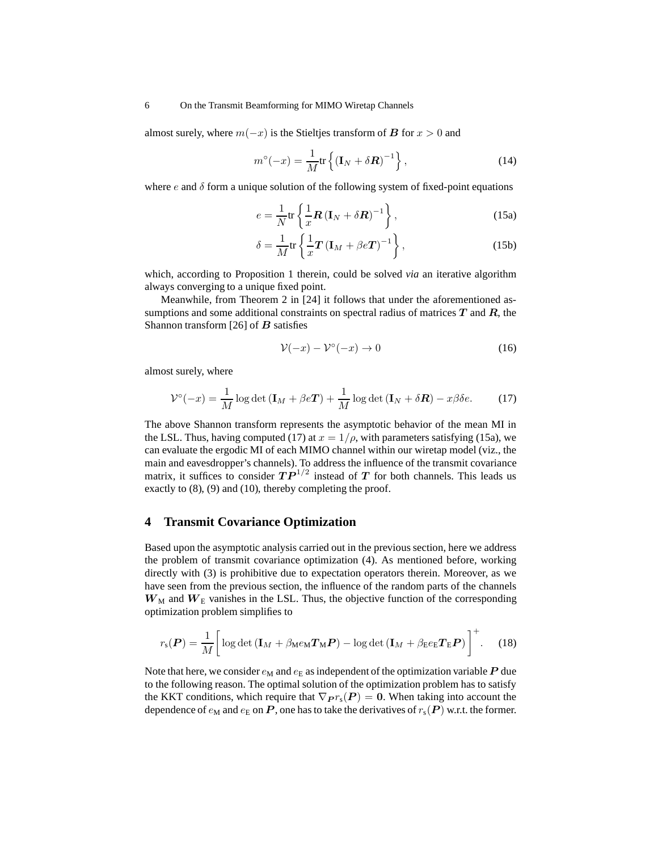almost surely, where  $m(-x)$  is the Stieltjes transform of B for  $x > 0$  and

$$
m^{\circ}(-x) = \frac{1}{M} \text{tr} \left\{ (\mathbf{I}_N + \delta \mathbf{R})^{-1} \right\},\tag{14}
$$

where e and  $\delta$  form a unique solution of the following system of fixed-point equations

$$
e = \frac{1}{N} \text{tr} \left\{ \frac{1}{x} \boldsymbol{R} \left( \mathbf{I}_N + \delta \boldsymbol{R} \right)^{-1} \right\},\tag{15a}
$$

$$
\delta = \frac{1}{M} \text{tr} \left\{ \frac{1}{x} \boldsymbol{T} \left( \mathbf{I}_M + \beta e \boldsymbol{T} \right)^{-1} \right\},\tag{15b}
$$

which, according to Proposition 1 therein, could be solved *via* an iterative algorithm always converging to a unique fixed point.

Meanwhile, from Theorem 2 in [24] it follows that under the aforementioned assumptions and some additional constraints on spectral radius of matrices  $T$  and  $R$ , the Shannon transform [26] of  $B$  satisfies

$$
\mathcal{V}(-x) - \mathcal{V}^{\circ}(-x) \to 0 \tag{16}
$$

almost surely, where

$$
\mathcal{V}^{\circ}(-x) = \frac{1}{M} \log \det \left( \mathbf{I}_M + \beta e \mathbf{T} \right) + \frac{1}{M} \log \det \left( \mathbf{I}_N + \delta \mathbf{R} \right) - x\beta \delta e. \tag{17}
$$

The above Shannon transform represents the asymptotic behavior of the mean MI in the LSL. Thus, having computed (17) at  $x = 1/\rho$ , with parameters satisfying (15a), we can evaluate the ergodic MI of each MIMO channel within our wiretap model (viz., the main and eavesdropper's channels). To address the influence of the transmit covariance matrix, it suffices to consider  $TP^{1/2}$  instead of T for both channels. This leads us exactly to (8), (9) and (10), thereby completing the proof.

## **4 Transmit Covariance Optimization**

Based upon the asymptotic analysis carried out in the previous section, here we address the problem of transmit covariance optimization (4). As mentioned before, working directly with (3) is prohibitive due to expectation operators therein. Moreover, as we have seen from the previous section, the influence of the random parts of the channels  $W_M$  and  $W_E$  vanishes in the LSL. Thus, the objective function of the corresponding optimization problem simplifies to

$$
r_{\rm s}(\boldsymbol{P}) = \frac{1}{M} \bigg[ \log \det \left( \mathbf{I}_M + \beta_{\rm M} e_{\rm M} \boldsymbol{T}_{\rm M} \boldsymbol{P} \right) - \log \det \left( \mathbf{I}_M + \beta_{\rm E} e_{\rm E} \boldsymbol{T}_{\rm E} \boldsymbol{P} \right) \bigg]^{+}.
$$
 (18)

Note that here, we consider  $e_M$  and  $e_E$  as independent of the optimization variable P due to the following reason. The optimal solution of the optimization problem has to satisfy the KKT conditions, which require that  $\nabla P r_s(P) = 0$ . When taking into account the dependence of  $e_M$  and  $e_E$  on  $\mathbf{P}$ , one has to take the derivatives of  $r_s(\mathbf{P})$  w.r.t. the former.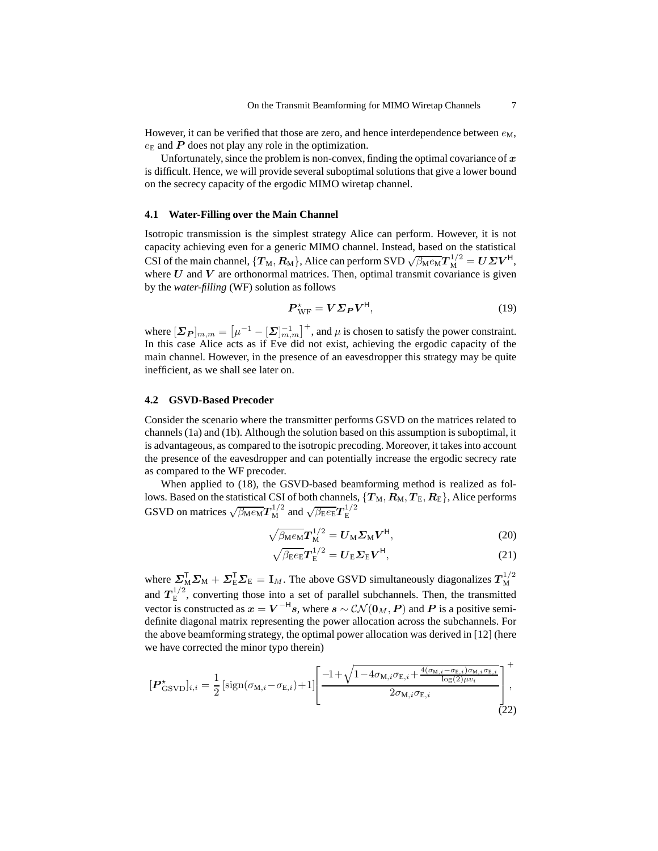However, it can be verified that those are zero, and hence interdependence between  $e_M$ ,  $e<sub>E</sub>$  and  $P$  does not play any role in the optimization.

Unfortunately, since the problem is non-convex, finding the optimal covariance of  $x$ is difficult. Hence, we will provide several suboptimal solutions that give a lower bound on the secrecy capacity of the ergodic MIMO wiretap channel.

#### **4.1 Water-Filling over the Main Channel**

Isotropic transmission is the simplest strategy Alice can perform. However, it is not capacity achieving even for a generic MIMO channel. Instead, based on the statistical CSI of the main channel,  $\{T_\text{M}, R_\text{M}\}$ , Alice can perform SVD  $\sqrt{\beta_\text{M}e_\text{M}}T_\text{M}^{1/2} = U\Sigma V^\text{H}$ , where  $U$  and  $V$  are orthonormal matrices. Then, optimal transmit covariance is given by the *water-filling* (WF) solution as follows

$$
P_{\rm WF}^{\star} = V \Sigma_{P} V^{\rm H},\tag{19}
$$

where  $[\Sigma_{\mathbf{P}}]_{m,m} = [\mu^{-1} - [\Sigma]_{m,m}^{-1}]^+$ , and  $\mu$  is chosen to satisfy the power constraint. In this case Alice acts as if Eve did not exist, achieving the ergodic capacity of the main channel. However, in the presence of an eavesdropper this strategy may be quite inefficient, as we shall see later on.

#### **4.2 GSVD-Based Precoder**

Consider the scenario where the transmitter performs GSVD on the matrices related to channels (1a) and (1b). Although the solution based on this assumption is suboptimal, it is advantageous, as compared to the isotropic precoding. Moreover, it takes into account the presence of the eavesdropper and can potentially increase the ergodic secrecy rate as compared to the WF precoder.

When applied to (18), the GSVD-based beamforming method is realized as follows. Based on the statistical CSI of both channels,  $\{T_{\rm M}, R_{\rm M}, T_{\rm E}, R_{\rm E}\}$ , Alice performs GSVD on matrices  $\sqrt{\beta_{\rm M}e_{\rm M}}T_{\rm M}^{1/2}$  and  $\sqrt{\beta_{\rm E}e_{\rm E}}T_{\rm E}^{1/2}$ 

$$
\sqrt{\beta_{\mathrm{M}}e_{\mathrm{M}}}T_{\mathrm{M}}^{1/2}=U_{\mathrm{M}}\Sigma_{\mathrm{M}}V^{\mathsf{H}},\tag{20}
$$

$$
\sqrt{\beta_{\rm E}e_{\rm E}}T_{\rm E}^{1/2}=U_{\rm E}\Sigma_{\rm E}V^{\rm H},\tag{21}
$$

where  $\sum_{\text{M}}^{\text{T}} \sum_{\text{M}} + \sum_{\text{E}}^{\text{T}} \sum_{\text{E}} = \text{I}_M$ . The above GSVD simultaneously diagonalizes  $T_{\text{M}}^{1/2}$ and  $T_{\rm E}^{1/2}$ , converting those into a set of parallel subchannels. Then, the transmitted vector is constructed as  $x = V^{-H}s$ , where  $s \sim \mathcal{CN}(\mathbf{0}_M, \mathbf{P})$  and  $\mathbf{P}$  is a positive semidefinite diagonal matrix representing the power allocation across the subchannels. For the above beamforming strategy, the optimal power allocation was derived in [12] (here we have corrected the minor typo therein)

$$
[\boldsymbol{P}_{\mathrm{GSVD}}^{\star}]_{i,i} = \frac{1}{2} \left[ \mathrm{sign}(\sigma_{\mathrm{M},i} - \sigma_{\mathrm{E},i}) + 1 \right] \left[ \frac{-1 + \sqrt{1 - 4\sigma_{\mathrm{M},i}\sigma_{\mathrm{E},i} + \frac{4(\sigma_{\mathrm{M},i} - \sigma_{\mathrm{E},i})\sigma_{\mathrm{M},i}\sigma_{\mathrm{E},i}}{\log(2)\mu v_i}}}{2\sigma_{\mathrm{M},i}\sigma_{\mathrm{E},i}} \right],
$$
(22)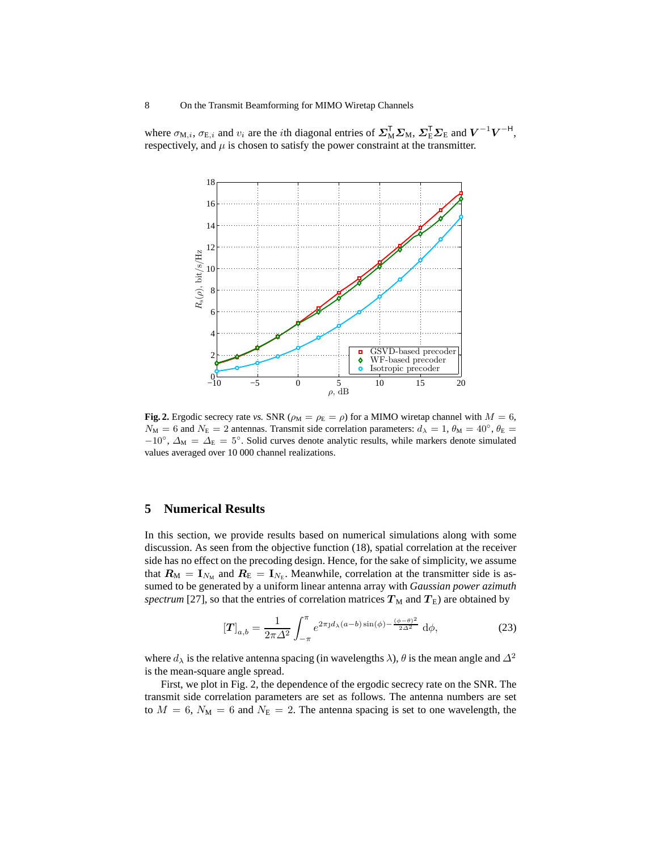where  $\sigma_{M,i}$ ,  $\sigma_{E,i}$  and  $v_i$  are the *i*th diagonal entries of  $\mathbf{\Sigma}_{M}^{\mathsf{T}}\mathbf{\Sigma}_{M}$ ,  $\mathbf{\Sigma}_{E}^{\mathsf{T}}\mathbf{\Sigma}_{E}$  and  $V^{-1}V^{-H}$ , respectively, and  $\mu$  is chosen to satisfy the power constraint at the transmitter.



**Fig. 2.** Ergodic secrecy rate *vs.* SNR ( $\rho_M = \rho_E = \rho$ ) for a MIMO wiretap channel with  $M = 6$ ,  $N_M = 6$  and  $N_E = 2$  antennas. Transmit side correlation parameters:  $d_{\lambda} = 1$ ,  $\theta_M = 40^{\circ}$ ,  $\theta_E =$  $-10^\circ$ ,  $\Delta_M = \Delta_E = 5^\circ$ . Solid curves denote analytic results, while markers denote simulated values averaged over 10 000 channel realizations.

# **5 Numerical Results**

In this section, we provide results based on numerical simulations along with some discussion. As seen from the objective function (18), spatial correlation at the receiver side has no effect on the precoding design. Hence, for the sake of simplicity, we assume that  $R_M = I_{N_M}$  and  $R_E = I_{N_E}$ . Meanwhile, correlation at the transmitter side is assumed to be generated by a uniform linear antenna array with *Gaussian power azimuth spectrum* [27], so that the entries of correlation matrices  $T_M$  and  $T_E$ ) are obtained by

$$
[\mathbf{T}]_{a,b} = \frac{1}{2\pi\Delta^2} \int_{-\pi}^{\pi} e^{2\pi \mathbf{J} d_{\lambda}(a-b)\sin(\phi) - \frac{(\phi - \theta)^2}{2\Delta^2}} d\phi,
$$
 (23)

where  $d_{\lambda}$  is the relative antenna spacing (in wavelengths  $\lambda$ ),  $\theta$  is the mean angle and  $\Delta^2$ is the mean-square angle spread.

First, we plot in Fig. 2, the dependence of the ergodic secrecy rate on the SNR. The transmit side correlation parameters are set as follows. The antenna numbers are set to  $M = 6$ ,  $N_M = 6$  and  $N_E = 2$ . The antenna spacing is set to one wavelength, the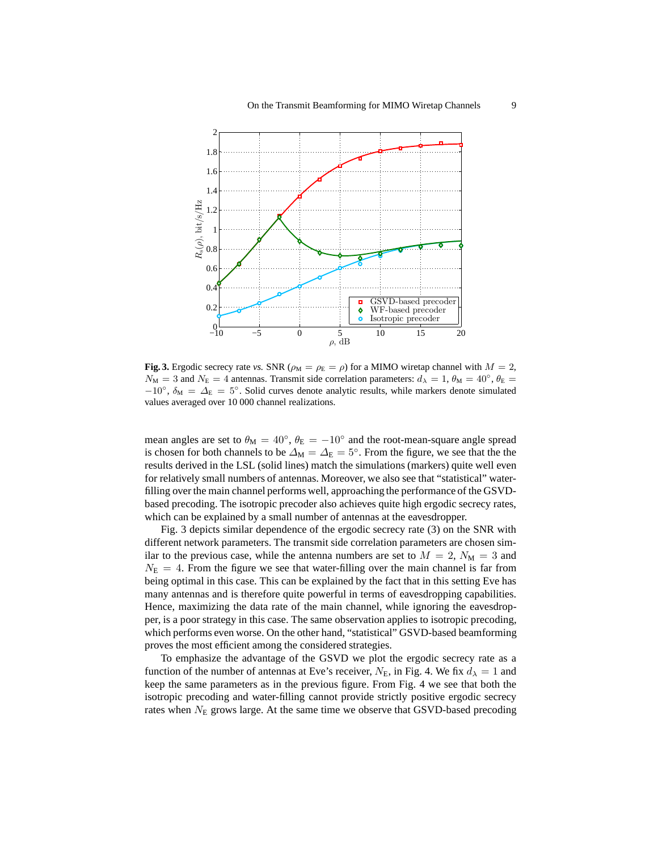

**Fig. 3.** Ergodic secrecy rate *vs.* SNR ( $\rho_M = \rho_E = \rho$ ) for a MIMO wiretap channel with  $M = 2$ ,  $N_M = 3$  and  $N_E = 4$  antennas. Transmit side correlation parameters:  $d_{\lambda} = 1$ ,  $\theta_M = 40^{\circ}$ ,  $\theta_E =$  $-10^{\circ}$ ,  $\delta_{\rm M} = \Delta_{\rm E} = 5^{\circ}$ . Solid curves denote analytic results, while markers denote simulated values averaged over 10 000 channel realizations.

mean angles are set to  $\theta_M = 40^\circ$ ,  $\theta_E = -10^\circ$  and the root-mean-square angle spread is chosen for both channels to be  $\Delta_M = \Delta_E = 5^\circ$ . From the figure, we see that the the results derived in the LSL (solid lines) match the simulations (markers) quite well even for relatively small numbers of antennas. Moreover, we also see that "statistical" waterfilling over the main channel performs well, approaching the performance of the GSVDbased precoding. The isotropic precoder also achieves quite high ergodic secrecy rates, which can be explained by a small number of antennas at the eavesdropper.

Fig. 3 depicts similar dependence of the ergodic secrecy rate (3) on the SNR with different network parameters. The transmit side correlation parameters are chosen similar to the previous case, while the antenna numbers are set to  $M = 2$ ,  $N_M = 3$  and  $N_{\rm E} = 4$ . From the figure we see that water-filling over the main channel is far from being optimal in this case. This can be explained by the fact that in this setting Eve has many antennas and is therefore quite powerful in terms of eavesdropping capabilities. Hence, maximizing the data rate of the main channel, while ignoring the eavesdropper, is a poor strategy in this case. The same observation applies to isotropic precoding, which performs even worse. On the other hand, "statistical" GSVD-based beamforming proves the most efficient among the considered strategies.

To emphasize the advantage of the GSVD we plot the ergodic secrecy rate as a function of the number of antennas at Eve's receiver,  $N_{\rm E}$ , in Fig. 4. We fix  $d_{\lambda} = 1$  and keep the same parameters as in the previous figure. From Fig. 4 we see that both the isotropic precoding and water-filling cannot provide strictly positive ergodic secrecy rates when  $N<sub>E</sub>$  grows large. At the same time we observe that GSVD-based precoding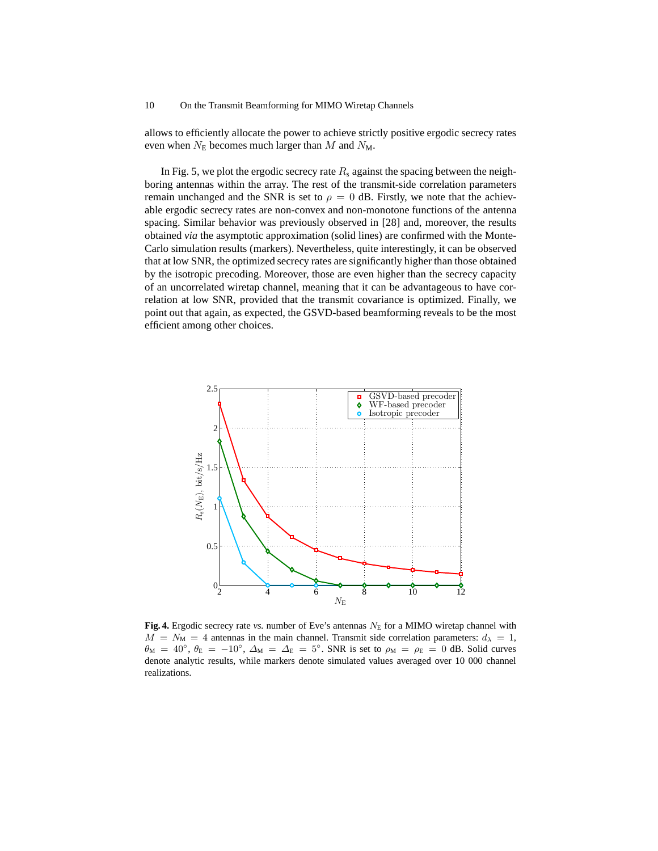#### 10 On the Transmit Beamforming for MIMO Wiretap Channels

allows to efficiently allocate the power to achieve strictly positive ergodic secrecy rates even when  $N_{\rm E}$  becomes much larger than M and  $N_{\rm M}$ .

In Fig. 5, we plot the ergodic secrecy rate  $R_s$  against the spacing between the neighboring antennas within the array. The rest of the transmit-side correlation parameters remain unchanged and the SNR is set to  $\rho = 0$  dB. Firstly, we note that the achievable ergodic secrecy rates are non-convex and non-monotone functions of the antenna spacing. Similar behavior was previously observed in [28] and, moreover, the results obtained *via* the asymptotic approximation (solid lines) are confirmed with the Monte-Carlo simulation results (markers). Nevertheless, quite interestingly, it can be observed that at low SNR, the optimized secrecy rates are significantly higher than those obtained by the isotropic precoding. Moreover, those are even higher than the secrecy capacity of an uncorrelated wiretap channel, meaning that it can be advantageous to have correlation at low SNR, provided that the transmit covariance is optimized. Finally, we point out that again, as expected, the GSVD-based beamforming reveals to be the most efficient among other choices.



Fig. 4. Ergodic secrecy rate *vs.* number of Eve's antennas  $N_E$  for a MIMO wiretap channel with  $M = N_M = 4$  antennas in the main channel. Transmit side correlation parameters:  $d_{\lambda} = 1$ ,  $\theta_{\rm M} = 40^{\circ}$ ,  $\theta_{\rm E} = -10^{\circ}$ ,  $\Delta_{\rm M} = \Delta_{\rm E} = 5^{\circ}$ . SNR is set to  $\rho_{\rm M} = \rho_{\rm E} = 0$  dB. Solid curves denote analytic results, while markers denote simulated values averaged over 10 000 channel realizations.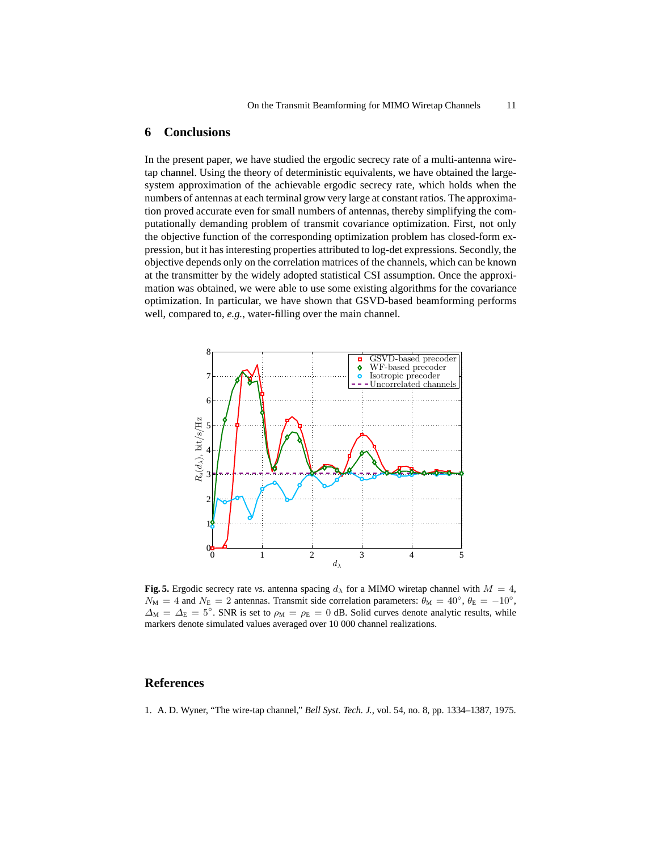# **6 Conclusions**

In the present paper, we have studied the ergodic secrecy rate of a multi-antenna wiretap channel. Using the theory of deterministic equivalents, we have obtained the largesystem approximation of the achievable ergodic secrecy rate, which holds when the numbers of antennas at each terminal grow very large at constant ratios. The approximation proved accurate even for small numbers of antennas, thereby simplifying the computationally demanding problem of transmit covariance optimization. First, not only the objective function of the corresponding optimization problem has closed-form expression, but it has interesting properties attributed to log-det expressions. Secondly, the objective depends only on the correlation matrices of the channels, which can be known at the transmitter by the widely adopted statistical CSI assumption. Once the approximation was obtained, we were able to use some existing algorithms for the covariance optimization. In particular, we have shown that GSVD-based beamforming performs well, compared to, *e.g.*, water-filling over the main channel.



**Fig. 5.** Ergodic secrecy rate *vs.* antenna spacing  $d<sub>\lambda</sub>$  for a MIMO wiretap channel with  $M = 4$ ,  $N_M = 4$  and  $N_E = 2$  antennas. Transmit side correlation parameters:  $\theta_M = 40^\circ$ ,  $\theta_E = -10^\circ$ ,  $\Delta_M = \Delta_E = 5^\circ$ . SNR is set to  $\rho_M = \rho_E = 0$  dB. Solid curves denote analytic results, while markers denote simulated values averaged over 10 000 channel realizations.

## **References**

1. A. D. Wyner, "The wire-tap channel," *Bell Syst. Tech. J.*, vol. 54, no. 8, pp. 1334–1387, 1975.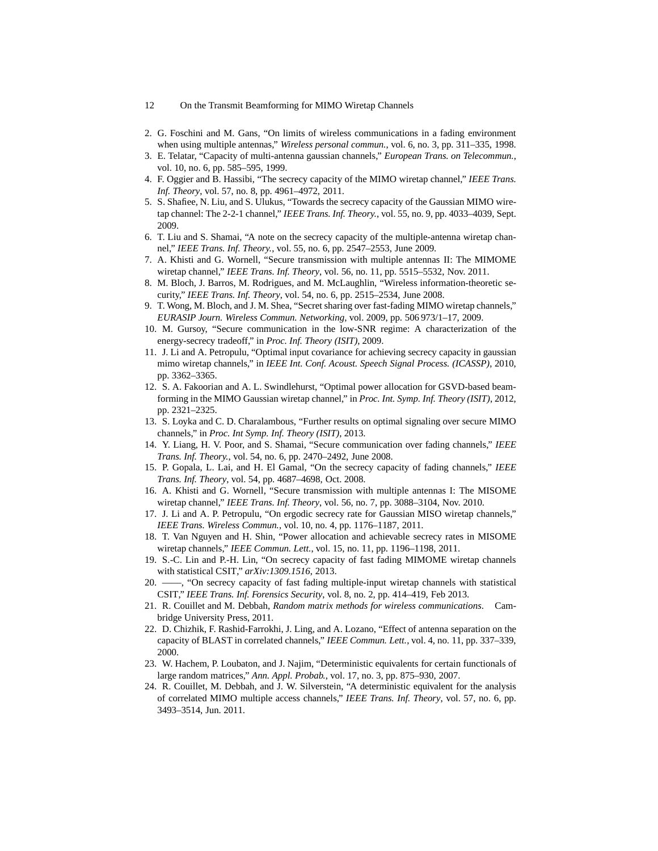- 12 On the Transmit Beamforming for MIMO Wiretap Channels
- 2. G. Foschini and M. Gans, "On limits of wireless communications in a fading environment when using multiple antennas," *Wireless personal commun.*, vol. 6, no. 3, pp. 311–335, 1998.
- 3. E. Telatar, "Capacity of multi-antenna gaussian channels," *European Trans. on Telecommun.*, vol. 10, no. 6, pp. 585–595, 1999.
- 4. F. Oggier and B. Hassibi, "The secrecy capacity of the MIMO wiretap channel," *IEEE Trans. Inf. Theory*, vol. 57, no. 8, pp. 4961–4972, 2011.
- 5. S. Shafiee, N. Liu, and S. Ulukus, "Towards the secrecy capacity of the Gaussian MIMO wiretap channel: The 2-2-1 channel," *IEEE Trans. Inf. Theory.*, vol. 55, no. 9, pp. 4033–4039, Sept. 2009.
- 6. T. Liu and S. Shamai, "A note on the secrecy capacity of the multiple-antenna wiretap channel," *IEEE Trans. Inf. Theory.*, vol. 55, no. 6, pp. 2547–2553, June 2009.
- 7. A. Khisti and G. Wornell, "Secure transmission with multiple antennas II: The MIMOME wiretap channel," *IEEE Trans. Inf. Theory*, vol. 56, no. 11, pp. 5515–5532, Nov. 2011.
- 8. M. Bloch, J. Barros, M. Rodrigues, and M. McLaughlin, "Wireless information-theoretic security," *IEEE Trans. Inf. Theory*, vol. 54, no. 6, pp. 2515–2534, June 2008.
- 9. T. Wong, M. Bloch, and J. M. Shea, "Secret sharing over fast-fading MIMO wiretap channels," *EURASIP Journ. Wireless Commun. Networking*, vol. 2009, pp. 506 973/1–17, 2009.
- 10. M. Gursoy, "Secure communication in the low-SNR regime: A characterization of the energy-secrecy tradeoff," in *Proc. Inf. Theory (ISIT)*, 2009.
- 11. J. Li and A. Petropulu, "Optimal input covariance for achieving secrecy capacity in gaussian mimo wiretap channels," in *IEEE Int. Conf. Acoust. Speech Signal Process. (ICASSP)*, 2010, pp. 3362–3365.
- 12. S. A. Fakoorian and A. L. Swindlehurst, "Optimal power allocation for GSVD-based beamforming in the MIMO Gaussian wiretap channel," in *Proc. Int. Symp. Inf. Theory (ISIT)*, 2012, pp. 2321–2325.
- 13. S. Loyka and C. D. Charalambous, "Further results on optimal signaling over secure MIMO channels," in *Proc. Int Symp. Inf. Theory (ISIT)*, 2013.
- 14. Y. Liang, H. V. Poor, and S. Shamai, "Secure communication over fading channels," *IEEE Trans. Inf. Theory.*, vol. 54, no. 6, pp. 2470–2492, June 2008.
- 15. P. Gopala, L. Lai, and H. El Gamal, "On the secrecy capacity of fading channels," *IEEE Trans. Inf. Theory*, vol. 54, pp. 4687–4698, Oct. 2008.
- 16. A. Khisti and G. Wornell, "Secure transmission with multiple antennas I: The MISOME wiretap channel," *IEEE Trans. Inf. Theory*, vol. 56, no. 7, pp. 3088–3104, Nov. 2010.
- 17. J. Li and A. P. Petropulu, "On ergodic secrecy rate for Gaussian MISO wiretap channels," *IEEE Trans. Wireless Commun.*, vol. 10, no. 4, pp. 1176–1187, 2011.
- 18. T. Van Nguyen and H. Shin, "Power allocation and achievable secrecy rates in MISOME wiretap channels," *IEEE Commun. Lett.*, vol. 15, no. 11, pp. 1196–1198, 2011.
- 19. S.-C. Lin and P.-H. Lin, "On secrecy capacity of fast fading MIMOME wiretap channels with statistical CSIT," *arXiv:1309.1516*, 2013.
- 20. ——, "On secrecy capacity of fast fading multiple-input wiretap channels with statistical CSIT," *IEEE Trans. Inf. Forensics Security*, vol. 8, no. 2, pp. 414–419, Feb 2013.
- 21. R. Couillet and M. Debbah, *Random matrix methods for wireless communications*. Cambridge University Press, 2011.
- 22. D. Chizhik, F. Rashid-Farrokhi, J. Ling, and A. Lozano, "Effect of antenna separation on the capacity of BLAST in correlated channels," *IEEE Commun. Lett.*, vol. 4, no. 11, pp. 337–339, 2000.
- 23. W. Hachem, P. Loubaton, and J. Najim, "Deterministic equivalents for certain functionals of large random matrices," *Ann. Appl. Probab.*, vol. 17, no. 3, pp. 875–930, 2007.
- 24. R. Couillet, M. Debbah, and J. W. Silverstein, "A deterministic equivalent for the analysis of correlated MIMO multiple access channels," *IEEE Trans. Inf. Theory*, vol. 57, no. 6, pp. 3493–3514, Jun. 2011.